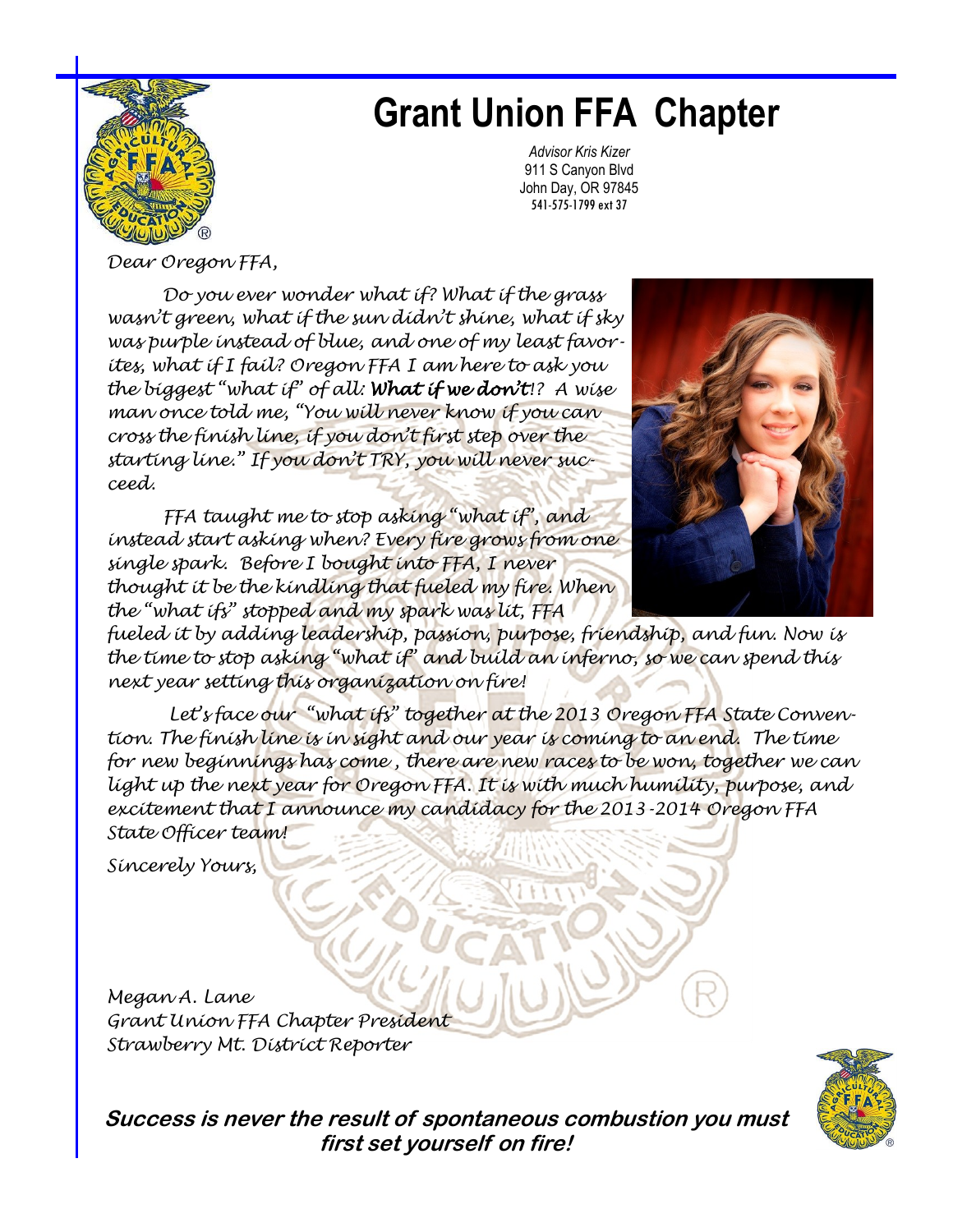

## **Grant Union FFA Chapter**

*Advisor Kris Kizer*  911 S Canyon Blvd John Day, OR 97845 541-575-1799 ext 37

*Dear Oregon FFA,*

*Do you ever wonder what if? What if the grass wasn't green, what if the sun didn't shine, what if sky was purple instead of blue, and one of my least favorites, what if I fail? Oregon FFA I am here to ask you the biggest "what if" of all: What if we don't!? A wise man once told me, "You will never know if you can cross the finish line, if you don't first step over the starting line." If you don't TRY, you will never succeed.* 

*FFA taught me to stop asking "what if", and instead start asking when? Every fire grows from one single spark. Before I bought into FFA, I never thought it be the kindling that fueled my fire. When the "what ifs" stopped and my spark was lit, FFA* 



*fueled it by adding leadership, passion, purpose, friendship, and fun. Now is the time to stop asking "what if" and build an inferno, so we can spend this next year setting this organization on fire!* 

*Let's face our "what ifs" together at the 2013 Oregon FFA State Convention. The finish line is in sight and our year is coming to an end. The time for new beginnings has come , there are new races to be won, together we can light up the next year for Oregon FFA. It is with much humility, purpose, and excitement that I announce my candidacy for the 2013-2014 Oregon FFA State Officer team!* 

*Sincerely Yours,* 

*Megan A. Lane Grant Union FFA Chapter President Strawberry Mt. District Reporter*



**Success is never the result of spontaneous combustion you must first set yourself on fire!**